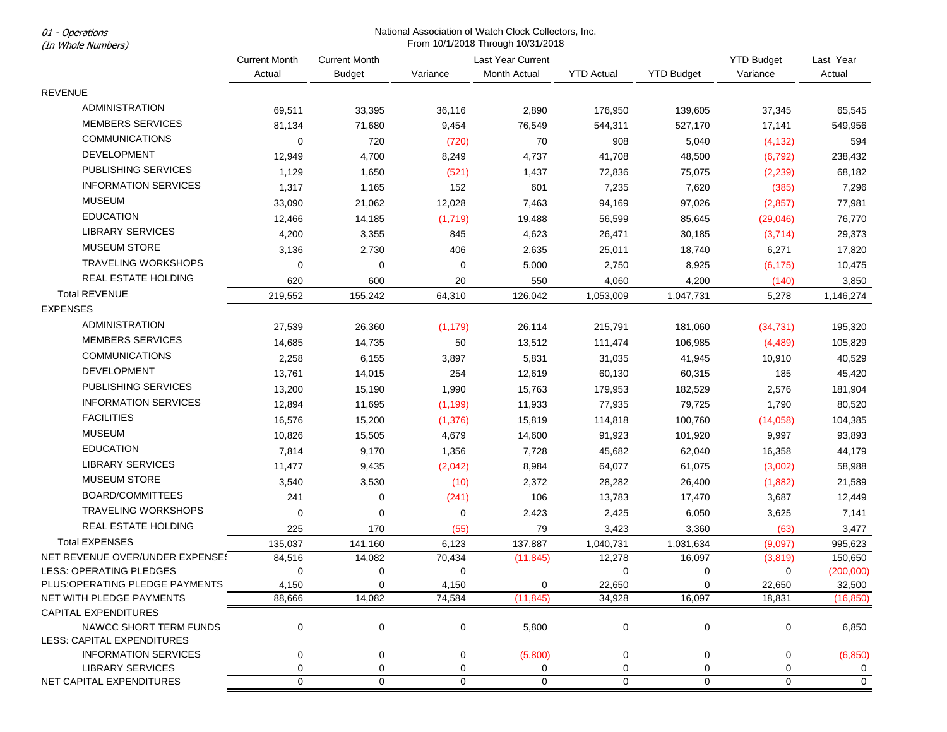01 - Operations

## National Association of Watch Clock Collectors, Inc. From 10/1/2018 Through 10/31/2018

| (In Whole Numbers)                                        | From 10/1/2018 Through 10/31/2018 |                      |             |                   |                   |                   |                   |                     |
|-----------------------------------------------------------|-----------------------------------|----------------------|-------------|-------------------|-------------------|-------------------|-------------------|---------------------|
|                                                           | <b>Current Month</b>              | <b>Current Month</b> |             | Last Year Current |                   |                   | <b>YTD Budget</b> | Last Year           |
|                                                           | Actual                            | <b>Budget</b>        | Variance    | Month Actual      | <b>YTD Actual</b> | <b>YTD Budget</b> | Variance          | Actual              |
| <b>REVENUE</b>                                            |                                   |                      |             |                   |                   |                   |                   |                     |
| <b>ADMINISTRATION</b>                                     | 69,511                            | 33,395               | 36,116      | 2,890             | 176,950           | 139,605           | 37,345            | 65,545              |
| <b>MEMBERS SERVICES</b>                                   | 81,134                            | 71,680               | 9,454       | 76,549            | 544,311           | 527,170           | 17,141            | 549,956             |
| <b>COMMUNICATIONS</b>                                     | 0                                 | 720                  | (720)       | 70                | 908               | 5,040             | (4, 132)          | 594                 |
| <b>DEVELOPMENT</b>                                        | 12,949                            | 4,700                | 8,249       | 4,737             | 41,708            | 48,500            | (6, 792)          | 238,432             |
| PUBLISHING SERVICES                                       | 1,129                             | 1,650                | (521)       | 1,437             | 72,836            | 75,075            | (2, 239)          | 68,182              |
| <b>INFORMATION SERVICES</b>                               | 1,317                             | 1,165                | 152         | 601               | 7,235             | 7,620             | (385)             | 7,296               |
| <b>MUSEUM</b>                                             | 33,090                            | 21,062               | 12,028      | 7,463             | 94,169            | 97,026            | (2, 857)          | 77,981              |
| <b>EDUCATION</b>                                          | 12,466                            | 14,185               | (1,719)     | 19,488            | 56,599            | 85,645            | (29, 046)         | 76,770              |
| <b>LIBRARY SERVICES</b>                                   | 4,200                             | 3,355                | 845         | 4,623             | 26,471            | 30,185            | (3,714)           | 29,373              |
| <b>MUSEUM STORE</b>                                       | 3,136                             | 2,730                | 406         | 2,635             | 25,011            | 18,740            | 6,271             | 17,820              |
| TRAVELING WORKSHOPS                                       | $\mathbf 0$                       | $\mathbf 0$          | 0           | 5,000             | 2,750             | 8,925             | (6, 175)          | 10,475              |
| REAL ESTATE HOLDING                                       | 620                               | 600                  | 20          | 550               | 4,060             | 4,200             | (140)             | 3,850               |
| <b>Total REVENUE</b>                                      | 219,552                           | 155,242              | 64,310      | 126,042           | 1,053,009         | 1,047,731         | 5,278             | 1,146,274           |
| <b>EXPENSES</b>                                           |                                   |                      |             |                   |                   |                   |                   |                     |
| <b>ADMINISTRATION</b>                                     | 27,539                            | 26,360               | (1, 179)    | 26,114            | 215,791           | 181,060           | (34, 731)         | 195,320             |
| <b>MEMBERS SERVICES</b>                                   | 14,685                            | 14,735               | 50          | 13,512            | 111,474           | 106,985           | (4, 489)          | 105,829             |
| <b>COMMUNICATIONS</b>                                     | 2,258                             | 6,155                | 3,897       | 5,831             | 31,035            | 41,945            | 10,910            | 40,529              |
| <b>DEVELOPMENT</b>                                        | 13,761                            | 14,015               | 254         | 12,619            | 60,130            | 60,315            | 185               | 45,420              |
| PUBLISHING SERVICES                                       | 13,200                            | 15,190               | 1,990       | 15,763            | 179,953           | 182,529           | 2,576             | 181,904             |
| <b>INFORMATION SERVICES</b>                               | 12,894                            | 11,695               | (1, 199)    | 11,933            | 77,935            | 79,725            | 1,790             | 80,520              |
| <b>FACILITIES</b>                                         | 16,576                            | 15,200               | (1, 376)    | 15,819            | 114,818           | 100,760           | (14,058)          | 104,385             |
| <b>MUSEUM</b>                                             | 10,826                            | 15,505               | 4,679       | 14,600            | 91,923            | 101,920           | 9,997             | 93,893              |
| <b>EDUCATION</b>                                          | 7,814                             | 9,170                | 1,356       | 7,728             | 45,682            | 62,040            | 16,358            | 44,179              |
| <b>LIBRARY SERVICES</b>                                   | 11,477                            | 9,435                | (2,042)     | 8,984             | 64,077            | 61,075            | (3,002)           | 58,988              |
| <b>MUSEUM STORE</b>                                       | 3,540                             | 3,530                | (10)        | 2,372             | 28,282            | 26,400            | (1,882)           | 21,589              |
| <b>BOARD/COMMITTEES</b>                                   | 241                               | 0                    | (241)       | 106               | 13,783            | 17,470            | 3,687             | 12,449              |
| <b>TRAVELING WORKSHOPS</b>                                | 0                                 | $\mathbf 0$          | 0           | 2,423             | 2,425             | 6,050             | 3,625             | 7,141               |
| REAL ESTATE HOLDING                                       | 225                               | 170                  | (55)        | 79                | 3,423             | 3,360             | (63)              | 3,477               |
| <b>Total EXPENSES</b>                                     | 135,037                           | 141,160              | 6,123       | 137,887           | 1,040,731         | 1,031,634         | (9,097)           | 995,623             |
| NET REVENUE OVER/UNDER EXPENSE!                           | 84,516                            | 14,082               | 70,434      | (11, 845)         | 12,278            | 16,097            | (3,819)           | 150,650             |
| LESS: OPERATING PLEDGES                                   | 0                                 | 0                    | 0           |                   | 0                 | 0                 | 0                 | (200,000)           |
| PLUS: OPERATING PLEDGE PAYMENTS                           | 4,150                             | 0                    | 4,150       | 0                 | 22,650            | 0                 | 22,650            | 32,500              |
| NET WITH PLEDGE PAYMENTS                                  | 88,666                            | 14,082               | 74,584      | (11, 845)         | 34,928            | 16,097            | 18,831            | (16, 850)           |
| CAPITAL EXPENDITURES                                      |                                   |                      |             |                   |                   |                   |                   |                     |
| NAWCC SHORT TERM FUNDS                                    | $\mathbf 0$                       | $\pmb{0}$            | 0           | 5,800             | $\pmb{0}$         | $\mathbf 0$       | 0                 | 6,850               |
| LESS: CAPITAL EXPENDITURES<br><b>INFORMATION SERVICES</b> |                                   |                      |             |                   |                   |                   |                   |                     |
| <b>LIBRARY SERVICES</b>                                   | 0<br>0                            | 0<br>$\mathbf 0$     | 0<br>0      | (5,800)<br>0      | 0<br>0            | 0<br>0            | 0<br>0            | (6, 850)<br>0       |
| NET CAPITAL EXPENDITURES                                  | $\mathbf 0$                       | $\mathbf 0$          | $\mathbf 0$ | $\mathbf 0$       | $\mathbf 0$       | $\mathbf 0$       | $\mathbf 0$       | $\mathsf{O}\xspace$ |
|                                                           |                                   |                      |             |                   |                   |                   |                   |                     |